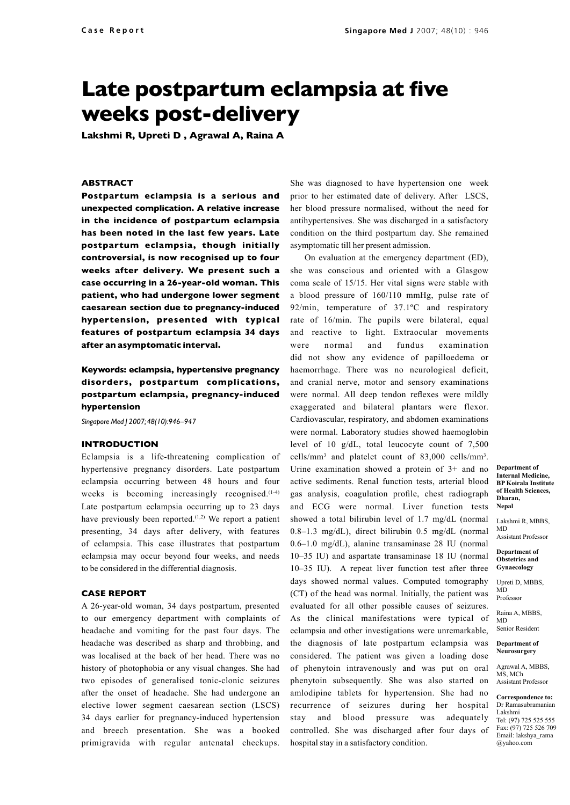# **Late postpartum eclampsia at five weeks post-delivery**

**Lakshmi R, Upreti D , Agrawal A, Raina A** 

## **Abstract**

**Postpartum eclampsia is a serious and unexpected complication. A relative increase in the incidence of postpartum eclampsia has been noted in the last few years. Late postpartum eclampsia, though initially controversial, is now recognised up to four weeks after delivery. We present such a case occurring in a 26-year-old woman. This patient, who had undergone lower segment caesarean section due to pregnancy-induced hypertension, presented with typical features of postpartum eclampsia 34 days after an asymptomatic interval.**

## **Keywords: eclampsia, hypertensive pregnancy disorders, postpartum complications, postpartum eclampsia, pregnancy-induced hypertension**

*Singapore Med J 2007; 48(10):946–947*

### **Introduction**

Eclampsia is a life-threatening complication of hypertensive pregnancy disorders. Late postpartum eclampsia occurring between 48 hours and four weeks is becoming increasingly recognised.<sup>(1-4)</sup> Late postpartum eclampsia occurring up to 23 days have previously been reported.<sup> $(1,2)$ </sup> We report a patient presenting, 34 days after delivery, with features of eclampsia. This case illustrates that postpartum eclampsia may occur beyond four weeks, and needs to be considered in the differential diagnosis.

#### **Case report**

A 26-year-old woman, 34 days postpartum, presented to our emergency department with complaints of headache and vomiting for the past four days. The headache was described as sharp and throbbing, and was localised at the back of her head. There was no history of photophobia or any visual changes. She had two episodes of generalised tonic-clonic seizures after the onset of headache. She had undergone an elective lower segment caesarean section (LSCS) 34 days earlier for pregnancy-induced hypertension and breech presentation. She was a booked primigravida with regular antenatal checkups.

She was diagnosed to have hypertension one week prior to her estimated date of delivery. After LSCS, her blood pressure normalised, without the need for antihypertensives. She was discharged in a satisfactory condition on the third postpartum day. She remained asymptomatic till her present admission.

On evaluation at the emergency department (ED), she was conscious and oriented with a Glasgow coma scale of 15/15. Her vital signs were stable with a blood pressure of 160/110 mmHg, pulse rate of 92/min, temperature of 37.1ºC and respiratory rate of 16/min. The pupils were bilateral, equal and reactive to light. Extraocular movements were normal and fundus examination did not show any evidence of papilloedema or haemorrhage. There was no neurological deficit, and cranial nerve, motor and sensory examinations were normal. All deep tendon reflexes were mildly exaggerated and bilateral plantars were flexor. Cardiovascular, respiratory, and abdomen examinations were normal. Laboratory studies showed haemoglobin level of 10 g/dL, total leucocyte count of 7,500 cells/mm3 and platelet count of 83,000 cells/mm3 . Urine examination showed a protein of 3+ and no active sediments. Renal function tests, arterial blood gas analysis, coagulation profile, chest radiograph and ECG were normal. Liver function tests showed a total bilirubin level of 1.7 mg/dL (normal 0.8–1.3 mg/dL), direct bilirubin 0.5 mg/dL (normal 0.6–1.0 mg/dL), alanine transaminase 28 IU (normal 10–35 IU) and aspartate transaminase 18 IU (normal 10–35 IU). A repeat liver function test after three days showed normal values. Computed tomography (CT) of the head was normal. Initially, the patient was evaluated for all other possible causes of seizures. As the clinical manifestations were typical of eclampsia and other investigations were unremarkable, the diagnosis of late postpartum eclampsia was considered. The patient was given a loading dose of phenytoin intravenously and was put on oral phenytoin subsequently. She was also started on amlodipine tablets for hypertension. She had no recurrence of seizures during her hospital stay and blood pressure was adequately controlled. She was discharged after four days of hospital stay in a satisfactory condition.

**Department of Internal Medicine, BP Koirala Institute of Health Sciences, Dharan, Nepal**

Lakshmi R, MBBS, MD Assistant Professor

**Department of Obstetrics and Gynaecology**

Upreti D, MBBS, MD Professor

Raina A, MBBS, MD

Senior Resident **Department of** 

**Neurosurgery**

Agrawal A, MBBS, MS, MCh Assistant Professor

**Correspondence to:** Dr Ramasubramanian Lakshmi

Tel: (97) 725 525 555 Fax: (97) 725 526 709 Email: lakshya\_rama @yahoo.com